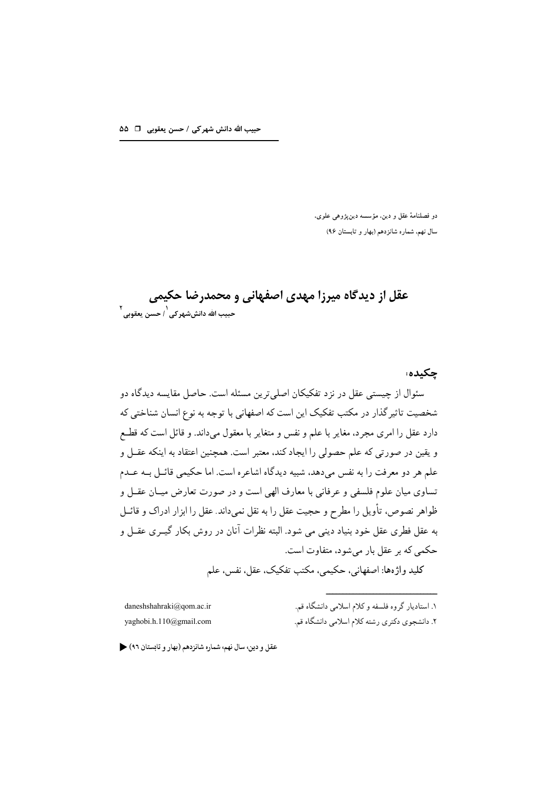دو فصلنامهٔ عقل و دین، مؤسسه دینپژوهی علوی، سال نهم، شماره شانزدهم (بهار و تابستان ۹۶)

عقل از دیدگاه میرزا مهدی اصفهانی و محمدرضا حکیمی حبيب الله دانششهر *کي <sup>\</sup> ، حسن* يعقوبي <sup>٢</sup>

چکىدە؛ سئوال از چیستی عقل در نزد تفکیکان اصلی ترین مسئله است. حاصل مقایسه دیدگاه دو شخصیت تاثیر گذار در مکتب تفکیک این است که اصفهانی با توجه به نوع انسان شناختی که دارد عقل را امری مجرد، مغایر با علم و نفس و متغایر با معقول میداند. و قائل است که قطـع و يقين در صورتي كه علم حصولي را ايجاد كند، معتبر است. همچنين اعتقاد به اينكه عقــل و علم هر دو معرفت را به نفس مى دهد، شبيه ديدگاه اشاعره است. اما حكيمى قائــل بــه عــدم تساوي ميان علوم فلسفى و عرفاني با معارف الهي است و در صورت تعارض ميــان عقــل و ظواهر نصوص، تأویل را مطرح و حجیت عقل را به نقل نمیداند. عقل را ابزار ادراک و قائــل به عقل فطري عقل خود بنياد دينې مې شود. البته نظرات آنان در روش بکار گيــري عقــل و حکمی که بر عقل بار می شود، متفاوت است. كليد واژهها: اصفهاني، حكيمي، مكتب تفكيك، عقل، نفس، علم

daneshshahraki@qom.ac.ir yaghobi.h.110@gmail.com

۱. استادیار گروه فلسفه و کلام اسلامی دانشگاه قم. ۲. دانشجوی دکتری رشته کلام اسلامی دانشگاه قم.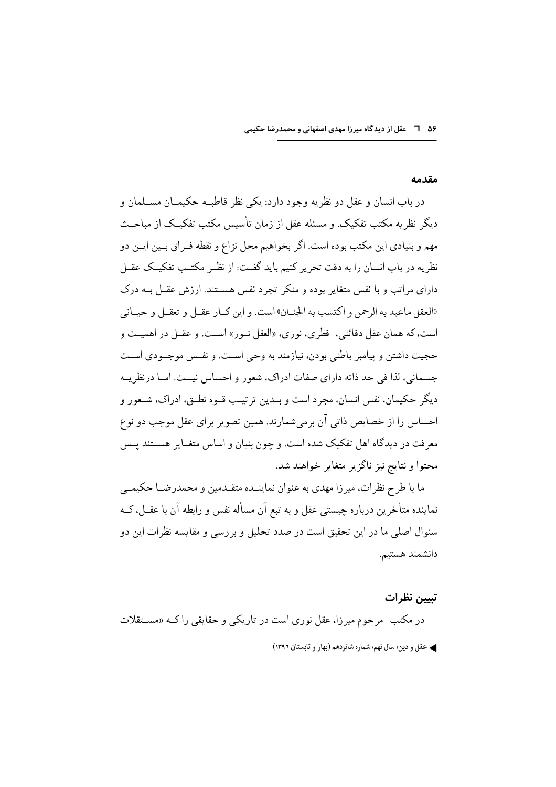#### مقدمه

در باب انسان و عقل دو نظریه وجود دارد: یکی نظر قاطبـه حکیمــان مســلمان و دیگر نظریه مکتب تفکیک. و مسئله عقل از زمان تأسیس مکتب تفکیـک از مباحـث مهم و بنيادي اين مكتب بوده است. اگر بخواهيم محل نزاع و نقطه فـراق بــين ايــن دو نظریه در باب انسان را به دقت تحریر کنیم باید گفت: از نظـر مکتـب تفکیـک عقـل دارای مراتب و با نفس متغایر بوده و منکر تجرد نفس هســتند. ارزش عقــل بــه درک «العقل ماعبد به الرحمن و اكتسب به الجنــان» است. و اين كــار عقــل و تعقــل و حيــاني است، كه همان عقل دفائني، فطري، نوري، «العقل نــور» اســت. و عقــل در اهميــت و حجيت داشتن و پيامبر باطني بودن، نيازمند به وحي اسـت. و نفـس موجـودي اسـت جسمانی، لذا فی حد ذاته دارای صفات ادراک، شعور و احساس نیست. امــا درنظریــه ديگر حكيمان، نفس انسان، مجرد است و بــدين ترتيــب قــوه نطــق، ادراك، شــعور و احساس را از خصایص ذاتی آن برمیشمارند. همین تصویر برای عقل موجب دو نوع معرفت در دیدگاه اهل تفکیک شده است. و چون بنیان و اساس متغـایر هســتند پــس محتوا و نتايج نيز ناگزير متغاير خواهند شد.

ما با طرح نظرات، میرزا مهدی به عنوان نماینــده متقــدمین و محمدرضــا حکیمــی نماینده متأخرین درباره چیستی عقل و به تبع آن مسأله نفس و رابطه آن با عقــل، کــه سئوال اصلی ما در این تحقیق است در صدد تحلیل و بررسی و مقایسه نظرات این دو دانشمند هستيم.

تبيين نظرات در مکتب ً مرحوم میرزا، عقل نوری است در تاریکی و حقایقی راکµ «مســتقلات ﴾ عقل و دين، سال نهم، شماره شانزدهم (بهار و تابستان ١٣٩٦)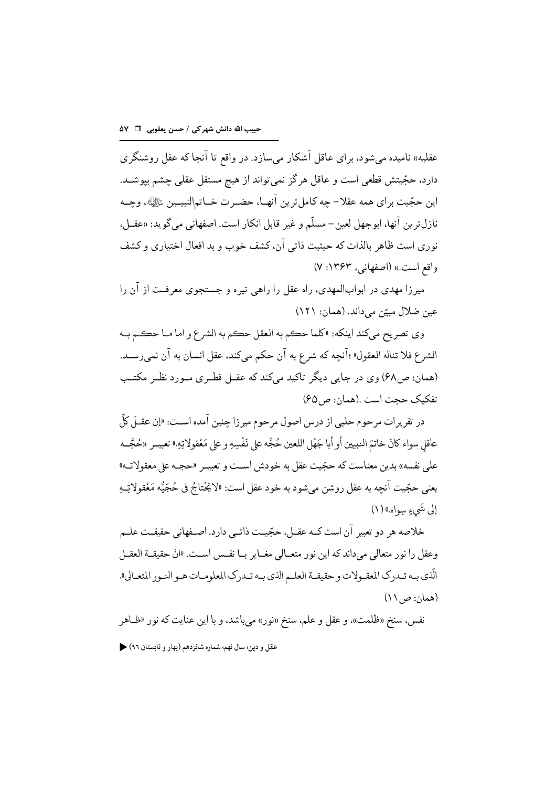عقلیه» نامیده می شود، برای عاقل آشکار می سازد. در واقع تا آنجا که عقل روشنگری دارد، حجّیتش قطعی است و عاقل هرگز نمیتواند از هیچ مستقل عقلی چشم بپوشــد. اين حجّيت براي همه عقلا– چه كاملترين آنهـا، حضـرت خــاتم|لنبيــين ﷺ، وچــه نازل ترين آنها، ابوجهل لعين–مسلّم و غير قابل انكار است. اصفهاني مي گويد: «عقـل، نوري است ظاهر بالذات كه حيثيت ذاتي آن، كشف خوب و بد افعال اختياري و كشف واقع است.» (اصفهانی، ۱۳۶۳: ۷)

میرزا مهدی در ابوابالمهدی، راه عقل را راهی تیره و جستجوی معرفت از ان را عین ضلال مبیّن می داند. (همان: ۱۲۱)

وي تصريح ميكند اينكه: «كلما حڪم به العقل حڪم به الشرع و اما مــا حڪـم بــه الشرع فلا تناله العقول» ؛آنچه كه شرع به آن حكم مي كند، عقل انسان به آن نمي رسـد. (همان: ص ۶۸) وی در جایی دیگر تاکید مےکند که عقبل فطری مـورد نظـر مکتـب تفكيك حجت است .(همان: ص ۶۵)

در تقریرات مرحوم حلبی از درس اصول مرحوم میرزا چنین آمده اسـت: «إن عقــلَ كلِّ عاقل سواء كانَ خاتمَ النبيين أو أبا جَهْل اللعين حُجَّه على نَفْسِهِ و على مَعْقولاتِهِ.» تعبيــر «حُجَّــه علمي نفسه» بدين معناست كه حجّيت عقل به خودش اسـت و تعبيـر «حجـه على معقولاتــه» يعني حجّيت آنچه به عقل روشن ميشود به خود عقل است: «لاَيَحْتاجُ في حُجّيُّه مَعْقولاتِـهِ إلى شَيءٍ سِواه.) (١)

خلاصه هر دو تعبیر آن است کــه عقــل، حجّیــت ذاتــی دارد. اصــفهانی حقیقــت علــم وعقل را نور متعالى مىداند كه اين نور متعـالى مغـاير بـا نفـس اسـت. «انّ حقيقــة العقــل الّذي بـه تـدرك المعقـولات و حقيقـة العلـم الذي بـه تـدرك المعلومـات هـو النـور المتعـالي».  $(11, 2)$  (همان: ص

نفس، سنخ «ظلمت»، و عقل و علم، سنخ «نور» مي باشد، و با اين عنايت كه نور «ظــاهر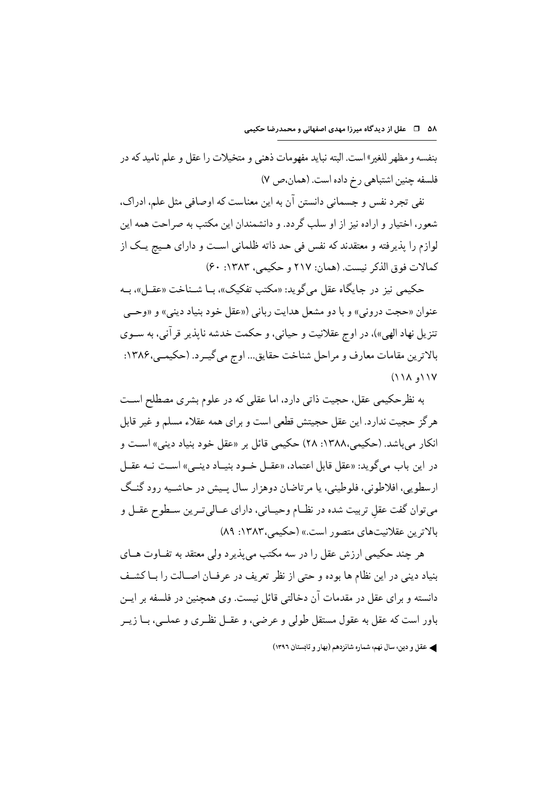بنفسه و مظهر للغير» است. البته نبايد مفهومات ذهني و متخيلات را عقل و علم ناميد كه در فلسفه چنین اشتباهی رخ داده است. (همان،ص ۷)

نفي تجرد نفس و جسماني دانستن آن به اين معناست كه اوصافي مثل علم، ادراك، شعور، اختیار و اراده نیز از او سلب گردد. و دانشمندان این مکتب به صراحت همه این لوازم را يذيرفته و معتقدند كه نفس في حد ذاته ظلماني است و داراي هـيج يـك از كمالات فوق الذكر نيست. (همان: ٢١٧ و حكيمي، ١٣٨٣: ٤٠)

حکیمی نیز در جایگاه عقل می گوید: «مکتب تفکیک»، بـا شـناخت «عقـل»، بـه عنوان «حجت دروني» و با دو مشعل هدايت رباني («عقل خود بنياد ديني» و «وحبي تنزيل نهاد الهي»)، در اوج عقلانيت و حياني، و حكمت خدشه نايذير قر آني، به ســوي بالاترين مقامات معارف و مراحل شناخت حقايق... اوج مي گيــرد. (حكيمــي،۱۳۸۶:  $(11A, 11V)$ 

به نظرحکیمی عقل، حجیت ذاتی دارد، اما عقلی که در علوم بشری مصطلح اسـت هرگز حجیت ندارد. این عقل حجیتش قطعی است و برای همه عقلاء مسلم و غیر قابل انکار می باشد. (حکیمی،۱۳۸۸: ۲۸) حکیمی قائل بر «عقل خود بنیاد دینی» است و در این باب می گوید: «عقل قابل اعتماد، «عقـل خـود بنیـاد دینـی» اسـت نــه عقـل ارسطويي، افلاطوني، فلوطيني، يا مر تاضان دوهزار سال پـيش در حاشـيه رود گنـگ مي توان گفت عقل تربيت شده در نظــام وحيــاني، داراي عــالي تــرين ســطوح عقــل و بالاترين عقلانيتهاي متصور است.» (حكيمي،١٣٨٣: ٨٩)

هر چند حکیمی ارزش عقل را در سه مکتب میپذیرد ولی معتقد به تفــاوت هــای بنياد ديني در اين نظام ها بوده و حتى از نظر تعريف در عرفـان اصـالت را بــاكشـف دانسته و برای عقل در مقدمات آن دخالتی قائل نیست. وی همحنین در فلسفه بر ایـن باور است که عقل به عقول مستقل طولی و عرضی، و عقــل نظـری و عملــی، بــا زیــر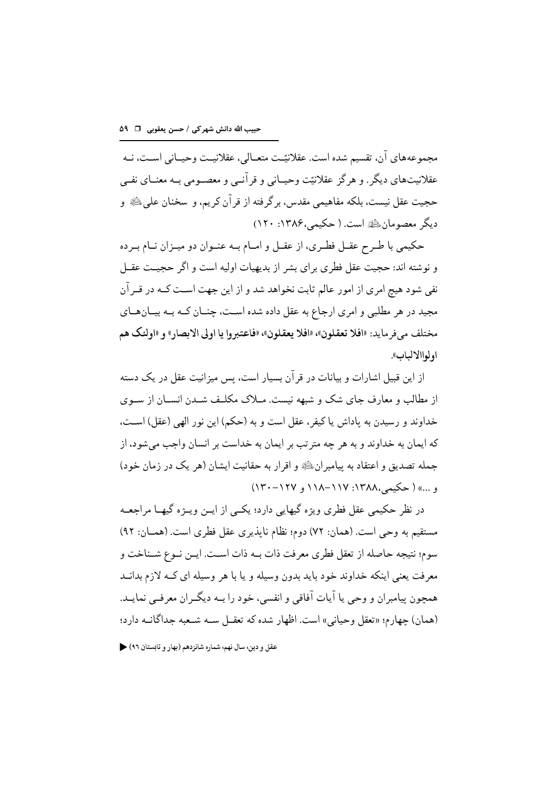مجموعههاي آن، تقسيم شده است. عقلانيّـت متعــالي، عقلانيــت وحيــاني اســت، نــه عقلانیتهای دیگر. و هرگز عقلانیّت وحیــانی و قرآنــی و معصــومی بــه معنــای نفــی حجيت عقل نيست، بلكه مفاهيمي مقدس، برگر فته از قر آن كريم، و سخنان على ﷺ و دیگر معصومان ﷺ است. ( حکیمی،۱۳۸۶: ۱۲۰)

حکیمی با طـرح عقـل فطـری، از عقـل و امــام بــه عنــوان دو میــزان نــام بــر ده و نوشته اند: حجیت عقل فطری برای بشر از بدیهیات اولیه است و اگر حجیـت عقــل نفي شود هيچ امري از امور عالم ثابت نخواهد شد و از اين جهت اسـت كــه در قــرآن مجید در هر مطلبی و امری ارجاع به عقل داده شده است، چنــان کــه بــه بیــانهــای مختلف مي فر مايد: «افلا تعقلون»، «افلا يعقلون»، «فاعتبروا يا اولى الابصار» و «اولئك هم اولواالالباب».

از این قبیل اشارات و بیانات در قر آن بسیار است، بس میزانیت عقل در یک دسته از مطالب و معارف جای شک و شبهه نیست. مــلاک مکلـف شــدن انســان از ســوی خداوند و رسیدن به یاداش یا کیفر، عقل است و به (حکم) این نور الهی (عقل) است، که ايمان به خداوند و به هر چه متر تب بر ايمان به خداست بر انسان واجب مي شود، از جمله تصدیق و اعتقاد به پیامبران ﷺ و اقرار به حقانیت ایشان (هر یک در زمان خود) و ...» ( حكيم ،١٣٨٨: ١١٧-١١٨ و ١٢٧-١٢٠)

در نظر حکیمی عقل فطری ویژه گیهایی دارد؛ یکسی از ایــن ویــژه گیهــا مراجعــه مستقيم به وحي است. (همان: ٧٢) دوم؛ نظام نايذيري عقل فطري است. (همــان: ٩٢) سوم؛ نتيجه حاصله از تعقل فطري معرفت ذات بــه ذات اســت. ايــن نــوع شــناخت و معرفت یعنی اینکه خداوند خود باید بدون وسیله و یا با هر وسیله ای کـه لازم بدانــد همحون پیامبران و وحی یا آیات آفاقی و انفسی، خود را بـه دیگـران معرفـی نمایـد. (همان) جهارم؛ «تعقل وحياني» است. اظهار شده كه تعقبل سـه شـعبه جداگانـه دارد؛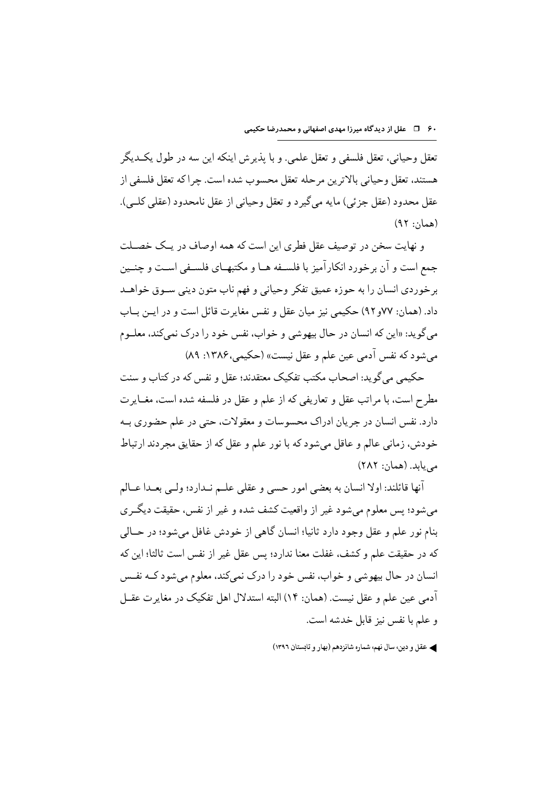تعقل وحياني، تعقل فلسفي و تعقل علمي. و با يذيرش اينكه اين سه در طول يكــديگر هستند، تعقل وحياني بالاترين مرحله تعقل محسوب شده است. چراكه تعقل فلسفى از عقل محدود (عقل جزئي) مايه مي گيرد و تعقل وحياني از عقل نامحدود (عقلي كلـي). (همان: ۹۲)

و نهایت سخن در توصیف عقل فطری این است که همه اوصاف در یـک خصـلت جمع است و آن برخورد انکار آمیز با فلسـفه هــا و مکتبهــای فلســفی اسـت و جنــین بر خوردي انسان را به حوزه عميق تفكر وحياني و فهم ناب متون ديني سـوق خواهــد داد. (همان: ۷۷و ۹۲) حکیمی نیز میان عقل و نفس مغایر ت قائل است و در ایــن بــاب مي گويد: «اين كه انسان در حال بيهوشي و خواب، نفس خود را درك نمي كند، معلــوم مي شود كه نفس آدمي عين علم و عقل نيست» (حكيمي، ١٣٨۶: ٨٩)

حکیمی می گوید: اصحاب مکتب تفکیک معتقدند؛ عقل و نفس که در کتاب و سنت مطرح است، با مراتب عقل و تعاریفی که از علم و عقل در فلسفه شده است، مغــایر ت دارد. نفس انسان در جريان ادراك محسوسات و معقولات، حتى در علم حضوري بــه خودش، زمانی عالم و عاقل می شود که با نور علم و عقل که از حقایق مجردند ارتباط می یابد. (همان: ۲۸۲)

آنها قائلند: اولا انسان به بعضی امور حسی و عقلی علــم نــدارد؛ ولــی بعــدا عــالم می شود؛ پس معلوم می شود غیر از واقعیت کشف شده و غیر از نفس، حقیقت دیگـری بنام نور علم و عقل وجود دارد ثانيا؛ انسان گاهي از خودش غافل مي شود؛ در حــالي كه در حقيقت علم و كشف، غفلت معنا ندارد؛ يس عقل غير از نفس است ثالثا؛ اين كه انسان در حال بیهوشی و خواب، نفس خود را درک نمیکند، معلوم میشود کـه نفـس آدمی عین علم و عقل نیست. (همان: ۱۴) البته استدلال اهل تفکیک در مغایر ت عقــل و علم با نفس نيز قابل خدشه است.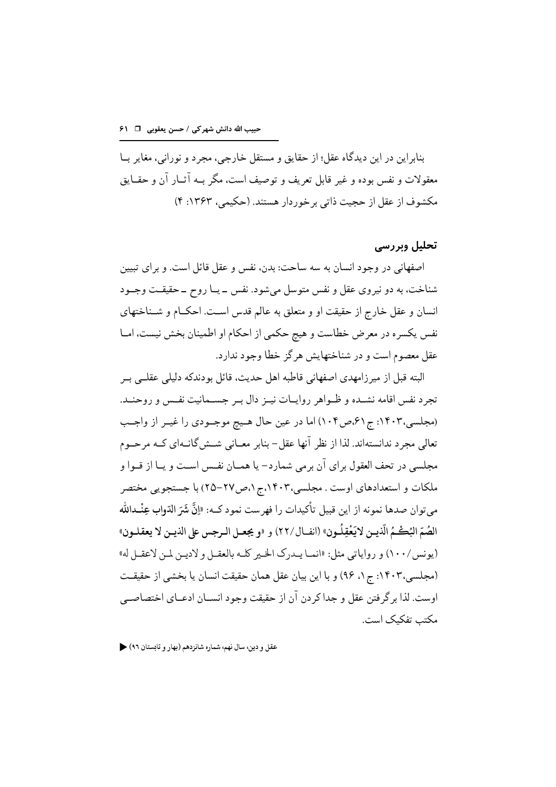بنابراین در این دیدگاه عقل؛ از حقایق و مستقل خارجے، مجرد و نورانی، مغایر بـا معقولات و نفس بوده و غير قابل تعريف و توصيف است، مگر بــه آثــار آن و حقــايق مکشوف از عقل از حجیت ذاتی بر خوردار هستند. (حکیمی، ۱۳۶۳: ۴)

### تحلیل وبررسی

اصفهانی در وجود انسان به سه ساحت: بدن، نفس و عقل قائل است. و برای تبیین شناخت، به دو نیروی عقل و نفس متوسل میشود. نفس \_ یــا روح \_حقیقـت وجــود انسان و عقل خارج از حقیقت او و متعلق به عالم قدس است. احکــام و شــناختهای نفس يكسره در معرض خطاست و هيج حكمي از احكام او اطمينان بخش نيست، امــا عقل معصوم است و در شناختهایش هر گز خطا وجود ندارد.

البته قبل از میر زامهدی اصفهانی قاطبه اهل حدیث، قائل بو دندکه دلیلی عقلبی ب تجرد نفس اقامه نشـده و ظـواهر روايــات نيــز دال بــر جســمانيت نفـس و روحنــد. (مجلسي،١۴٠٣: ج ٤١،ص١٠۴) اما در عين حال هـيج موجـودي را غيـر از واجـب تعالی مجرد ندانستهاند. لذا از نظر آنها عقل- بنابر معــانی شــش&انــهای کــه مرحــوم مجلسي در تحف العقول براي آن برمي شمارد– يا همــان نفــس اســت و يــا از قــوا و ملکات و استعدادهای اوست . مجلسی،۱۴۰۳،ج۱،ص۲۷–۲۵) با جستجویی مختصر مي توان صدها نمونه از اين قبيل تأكيدات را فهرست نمود كــه: «إِنَّ شَرَ الدّوابِ عِنْــدالله الصُمّ البُكْـمُ الّذيـن لايَعْقِلُـون» (انفــال/٢٢) و «و يجعــل الـرجس على الذيــن لا يعقـلــون» (يونس/١٠٠) و رواياتي مثل: «انمـا يـدرك الخـير كلـه بالعقـل و لاديـن لمـن لاعقـل له» (مجلسی،۱۴۰۳: ج۱، ۹۶) و با این بیان عقل همان حقیقت انسان یا بخشی از حقیقت اوست. لذا بر گر فتن عقل و جدا كردن آن از حقيقت وجود انســان ادعــاي اختصاصــي مکتب تفکیک است.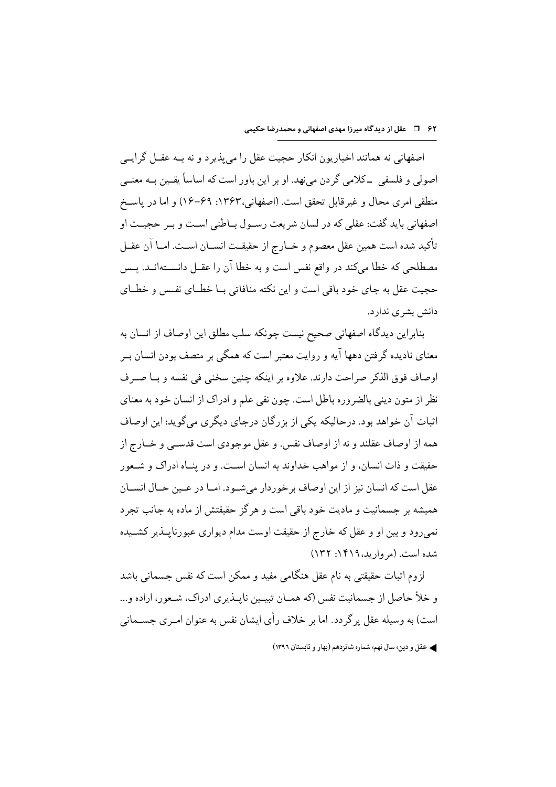اصفهانی نه همانند اخباریون انکار حجیت عقل را می بذیر د و نه بـه عقــل گرایــی اصولي و فلسفي \_كلامي گردن مي نهد. او بر اين باور است كه اساساً يقـين بــه معنــي منطقى امرى محال و غير قابل تحقق است. (اصفهانى،١٣۶٣: ٤٩–١٤) و اما در ياسـخ اصفهاني بايد گفت: عقلي كه در لسان شريعت رسـول بــاطني اسـت و بـر حجيــت او تأكيد شده است همين عقل معصوم و خــارج از حقيقــت انســان اســت. امــا آن عقــل مصطلحی که خطا میکند در واقع نفس است و به خطا آن را عقــل دانســتهانــد. پــس حجیت عقل به جای خود باقی است و این نکته منافاتی بـا خطــای نفــس و خطــای دانش بشری ندارد.

بنابراین دیدگاه اصفهانی صحیح نیست چونکه سلب مطلق این اوصاف از انسان به معنای نادیده گرفتن دهها آیه و روایت معتبر است که همگی بر متصف بودن انسان بــر اوصاف فوق الذكر صراحت دارند. علاوه بر اينكه چنين سخني في نفسه و بــا صــرف نظر از متون دینی بالضروره باطل است. چون نفی علم و ادراک از انسان خود به معنای اثبات آن خواهد بود. درحاليكه يكي از بزرگان درجاي ديگري مي گويد: اين اوصاف همه از اوصاف عقلند و نه از اوصاف نفس. و عقل موجودي است قدســي و خــارج از حقیقت و ذات انسان، و از مواهب خداوند به انسان است. و در پنـاه ادراک و شـعور عقل است كه انسان نيز از اين اوصاف بر خوردار مي شـود. امــا در عــين حــال انســان همیشه بر جسمانیت و مادیت خود باقی است و هر گز حقیقتش از ماده به جانب تجرد نمیرود و بین او و عقل که خارج از حقیقت اوست مدام دیواری عبورناپــذیر کشــیده شده است. (مروارید، ۱۴۱۹: ۱۳۲)

لزوم اثبات حقیقتی به نام عقل هنگامی مفید و ممکن است که نفس جسمانی باشد و خلأ حاصل از جسمانیت نفس (که همـان تبیـین نابـذیری ادراک، شـعور، اراده و... است) به وسیله عقل پر گر دد. اما بر خلاف رأی ایشان نفس به عنوان امـری جســمانی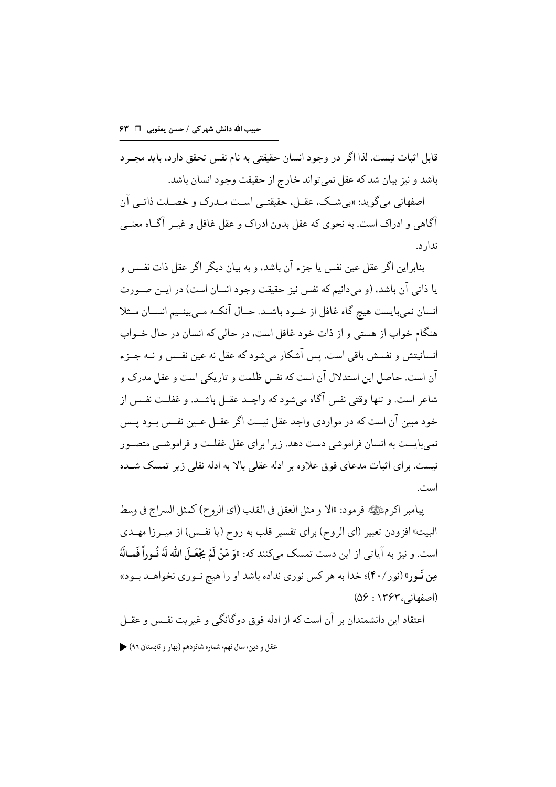قابل اثبات نیست. لذا اگر در وجود انسان حقیقتی به نام نفس تحقق دارد، باید مجـر د باشد و نیز بیان شد که عقل نمیتواند خارج از حقیقت وجود انسان باشد.

اصفهاني مي گويد: «بي شب، عقبل، حقيقتـي اسـت مــدرک و خصــلت ذاتــي آن آگاهی و ادراک است. به نحوی که عقل بدون ادراک و عقل غافل و غیــر آگــاه معنــی ندار د.

بنابراین اگر عقل عین نفس یا جزء آن باشد، و به بیان دیگر اگر عقل ذات نفـس و يا ذاتي آن باشد، (و مي دانيم كه نفس نيز حقيقت وجود انسان است) در ايــن صــورت انسان نمیبایست هیچ گاه غافل از خـود باشـد. حـال آنکـه مـی بینـیم انسـان مـثلا هنگام خواب از هستی و از ذات خود غافل است، در حالی که انسان در حال خــواب انسانيتش و نفسش باقي است. پس آشكار ميشود كه عقل نه عين نفـس و نــه جــزء آن است. حاصل این استدلال آن است که نفس ظلمت و تاریکی است و عقل مدرک و شاعر است. و تنها وقتی نفس آگاه میشود که واجـد عقــل باشــد. و غفلــت نفــس از خود مبین آن است که در مواردی واجد عقل نیست اگر عقــل عــین نفــس بــود پــس نمی بایست به انسان فراموشی دست دهد. زیر ا برای عقل غفلـت و فراموشــی متصــور نیست. بر ای اثبات مدعای فوق علاوه بر ادله عقلی بالا به ادله نقلی زیر تمسک شــده است.

بيامبر أكر مﷺ فرمود: «الا و مثل العقل في القلب (اي الروح) كمثل السراج في وسط البيت» افزودن تعبير (اي الروح) براي تفسير قلب به روح (يا نفس) از ميـرزا مهـدي است. و نيز به آياتي از اين دست تمسك ميكنند كه: «وَ مَنْ لَمْ يَجْعَـلَ الله لَهُ نُـوراً فَمـالَهُ مِن نَّـورِ» (نور/۴۰)؛ خدا به هر كس نوري نداده باشد او را هيچ نـوري نخواهــد بـود» (اصفهانه، ۱۳۶۳ : ۵۶)

اعتقاد این دانشمندان بر آن است که از ادله فوق دوگانگی و غیریت نفـس و عقــل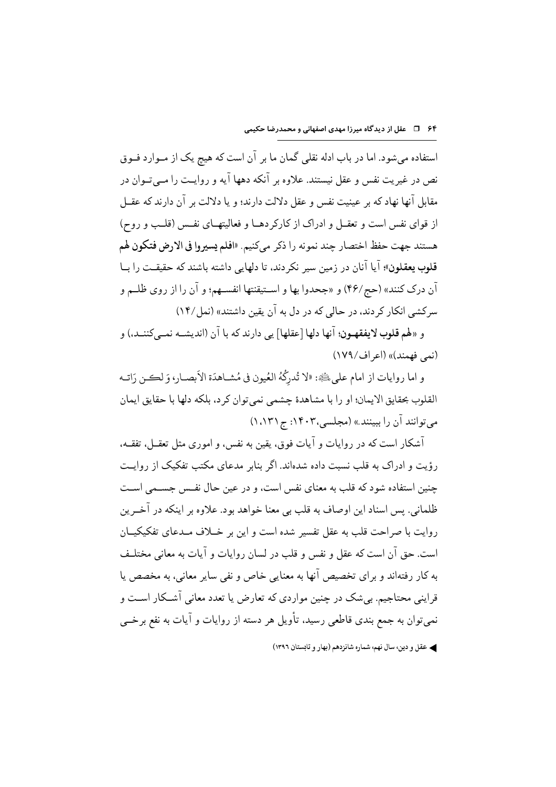استفاده می شود. اما در باب ادله نقلی گمان ما بر آن است که هیج یک از مـوارد فـوق نص در غیریت نفس و عقل نیستند. علاوه بر آنکه دهها آیه و روایـت را مــیتــوان در مقابل آنها نهاد که بر عینیت نفس و عقل دلالت دارند؛ و یا دلالت بر آن دارند که عقــل از قوای نفس است و تعقــل و ادراک از کارکردهــا و فعالیتهــای نفــس (قلــب و روح) هستند جهت حفظ اختصار چند نمونه را ذكر مي كنيم. «افلم يسيروا في الارض فتكون لهم قلوب يعقلون»؛ آيا آنان در زمين سير نكردند، تا دلهايي داشته باشند كه حقيقت را بــا آن درک کنند» (حج/۴۶) و «جحدوا بها و اسـتيقنتها انفسـهم؛ و آن را از روي ظلــم و سرکشی انکار کر دند، در حالی که در دل به آن یقین داشتند» (نمل/۱۴)

و «لهم قلوب لايفقهـون؛ آنها دلها [عقلها] يي دارند كه با آن (انديشـه نمـبي كننــد،) و (نعي فهمند)» (اعراف/١٧٩)

و اما روايات از امام على ﷺ: «لا تُدرِكُهُ العُيونِ في مُشــاهدَة الأبصــار، وَ لڪـن رَاتــه القلوب بحقايق الايمان؛ او را با مشاهدة چشمي نمي توان كر د، بلكه دلها با حقايق ايمان می توانند آن را ببینند» (مجلسی،۱۴۰۳: ج ۱٬۱۲۱)

آشکار است که در روایات و آیات فوق، یقین به نفس، و اموری مثل تعقــل، تفقــه، رؤیت و ادراک به قلب نسبت داده شدهاند. اگر بنابر مدعای مکتب تفکیک از روایت جنين استفاده شود كه قلب به معناي نفس است، و در عين حال نفس جســمي اســت ظلماني. پس اسناد اين اوصاف به قلب بي معنا خواهد بود. علاوه بر اينكه در آخــرين روايت با صراحت قلب به عقل تفسير شده است و اين بر خــلاف مــدعاى تفكيكيــان است. حق آن است که عقل و نفس و قلب در لسان روایات و آیات به معانی مختلـف به کار رفتهاند و برای تخصیص آنها به معنایی خاص و نفی سایر معانی، به مخصص یا قراینی محتاجیم. بیشک در چنین مواردی که تعارض یا تعدد معانی آشـکار اسـت و نمي توان به جمع بندي قاطعي رسيد، تأويل هر دسته از روايات و آيات به نفع برخــي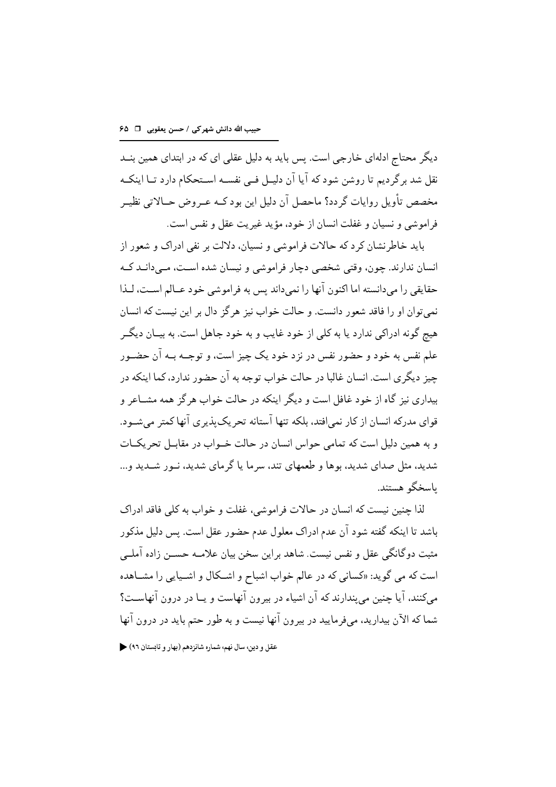دیگر محتاج ادلهای خارجی است. پس باید به دلیل عقلی ای که در ابتدای همین بنــد نقل شد برگردیم تا روشن شود که آیا آن دلیـل فـی نفسـه اسـتحکام دارد تــا اینکــه مخصص تأويل روايات گر دد؟ ماحصل آن دليل اين بود كـه عـر وض حــالاتي نظيــر فراموشي و نسيان و غفلت انسان از خود، مؤيد غيريت عقل و نفس است.

باید خاطرنشان کر د که حالات فراموشی و نسیان، دلالت بر نفی ادراک و شعور از انسان ندارند. چون، وقتي شخصي دچار فراموشي و نيسان شده است، مـيدانــد كــه حقايقي را مي دانسته اما اكنون آنها را نمي داند پس به فراموشي خود عــالم اسـت، لــذا نمي توان او را فاقد شعور دانست. و حالت خواب نيز هر گز دال بر اين نيست كه انسان هيج گونه ادراكي ندارد يا به كلي از خود غايب و به خود جاهل است. به بيــان ديگــر علم نفس به خود و حضور نفس در نزد خود یک چیز است، و توجــه بــه آن حضــور حیز دیگر ی است. انسان غالبا در حالت خواب توجه به آن حضور ندارد، کما اینکه در بیداری نیز گاه از خود غافل است و دیگر اینکه در حالت خواب هر گز همه مشــاعر و قواي مدركه انسان از كار نمي افتد، بلكه تنها آستانه تحريك بذيري آنها كمتر مي شـود. و به همین دلیل است که تمامی حواس انسان در حالت خــواب در مقابــل تحریکــات شدید، مثل صدای شدید، بوها و طعمهای تند، سرما یا گرمای شدید، نـور شــدید و... ىاسخگو ھستند.

لذا چنین نیست که انسان در حالات فراموشی، غفلت و خواب به کلی فاقد ادراک باشد تا اینکه گفته شود آن عدم ادراک معلول عدم حضور عقل است. پس دلیل مذکور مثبت دوگانگی عقل و نفس نیست. شاهد براین سخن بیان علامـه حســن زاده آملــی است که می گوید: «کسانی که در عالم خواب اشباح و اشـکال و اشـیایی را مشـاهده مے کنند، آیا جنین مے بندارند که آن اشیاء در بیرون آنهاست و پــا در درون آنهاسـت؟ شما که الآن بیدارید، مے فرمایید در بیرون آنها نیست و به طور حتم پاید در درون آنها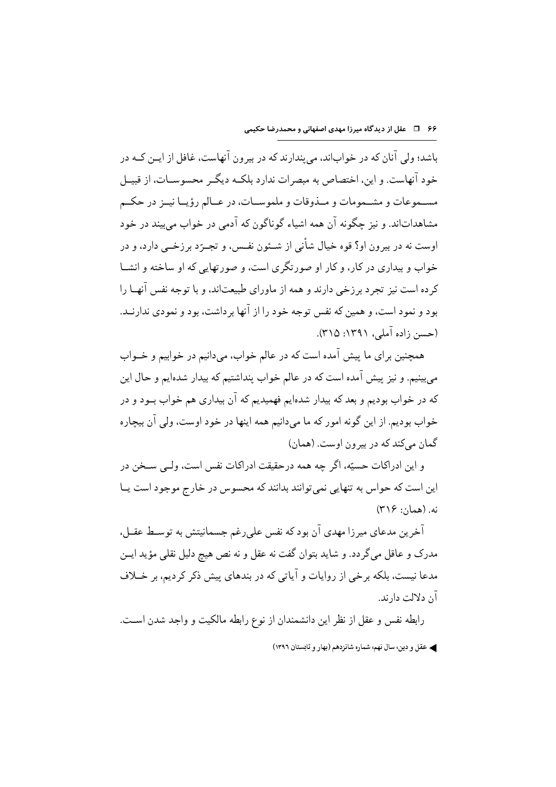باشد؛ ولی آنان که در خواباند، می بندارند که در بیرون آنهاست، غافل از ایــن کــه در خود آنهاست. و این، اختصاص به مبصرات ندارد بلکـه دیگـر محسوســات، از قبیــل مســموعات و مشــمومات و مــذوقات و ملموســات، در عــالم رؤيــا نيــز در حكــم مشاهداتاند. و نیز چگونه آن همه اشیاء گوناگون که آدمی در خواب می بیند در خود اوست نه در بیرون او؟ قوه خیال شأنی از شـئون نفـس، و تجــرّد برزخــی دارد، و در خواب و بیداری در کار، و کار او صورتگری است، و صورتهایی که او ساخته و انشــا کرده است نیز تجرد برزخی دارند و همه از ماورای طبیعتاند، و با توجه نفس آنهــا را بود و نمود است، و همین که نفس توجه خود را از آنها بر داشت، بود و نمودی ندارنــد. (حسن زاده آملی، ۱۳۹۱: ۳۱۵).

همچنین برای ما پیش آمده است که در عالم خواب، میدانیم در خوابیم و خــواب می بینیم. و نیز پیش آمده است که در عالم خواب پنداشتیم که بیدار شدهایم و حال این که در خواب بوديم و بعد که بيدار شدهايم فهميديم که آن بيداري هم خواب بــود و در خواب بوديم. از اين گونه امور كه ما ميدانيم همه اينها در خود اوست، ولي آن بيچاره گمان میکند که در بیرون اوست. (همان)

و اين ادراكات حسيّه، اگر چه همه درحقيقت ادراكات نفس است، ولـبي سـخن در این است که حواس به تنهایی نمی توانند بدانند که محسوس در خارج موجود است پــا نه. (همان: ۳۱۶)

آخرین مدعای میرزا مهدی آن بود که نفس علی رغم جسمانیتش به توسـط عقــل، مدرک و عاقل میگردد. و شاید بتوان گفت نه عقل و نه نص هیچ دلیل نقلی مؤید ایــن مدعا نیست، بلکه برخی از روایات و آیاتی که در بندهای پیش ذکر کردیم، بر خــلاف آن دلالت دارند.

رابطه نفس و عقل از نظر این دانشمندان از نوع رابطه مالکیت و واجد شدن است. ﴾ عقل و دين، سال نهم، شماره شانزدهم (بهار و تابستان ١٣٩٦)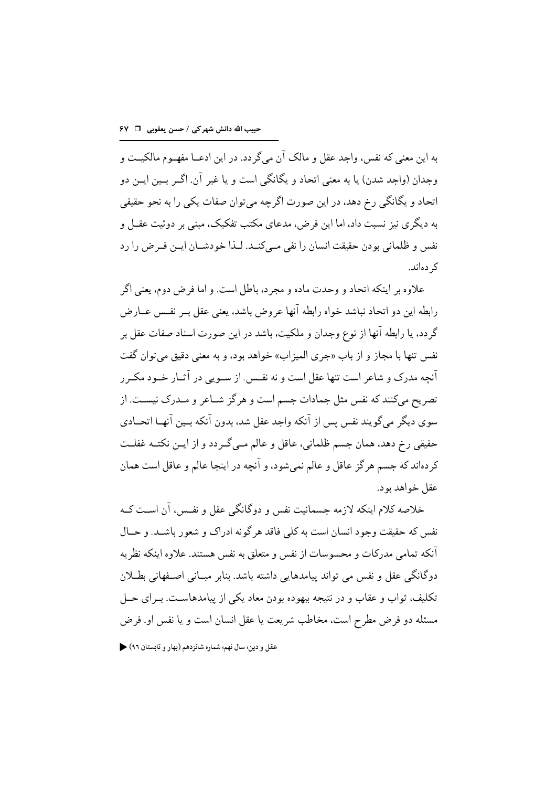به اين معنى كه نفس، واجد عقل و مالك آن مى گر دد. در اين ادعــا مفهــوم مالكيــت و وجدان (واجد شدن) یا به معنی اتحاد و یگانگی است و یا غیر آن. اگـر بـین ایـن دو اتحاد و یگانگی رخ دهد، در این صورت اگرچه می توان صفات یکی را به نحو حقیقی به دیگری نیز نسبت داد، اما این فرض، مدعای مکتب تفکیک، مبنی بر دوئیت عقــل و نفس و ظلماني بودن حقيقت انسان را نفي مـيكنــد. لــذا خودشــان ايــن فــرض را رد ک دهاند.

علاوه بر اينكه اتحاد و وحدت ماده و مجر د، باطل است. و اما فرض دوم، يعني اگر رابطه اين دو اتحاد نباشد خواه رابطه آنها عروض باشد، يعني عقل بــر نفــس عــارض گردد، یا رابطه آنها از نوع وجدان و ملکیت، باشد در این صورت اسناد صفات عقل بر نفس تنها با مجاز و از باب «جرى الميزاب» خواهد بود، و به معنى دقيق مى توان گفت آنحه مدرک و شاعر است تنها عقل است و نه نفس. از سـویې در آثــار خــود مکــر ر تصریح میکنند که نفس مثل جمادات جسم است و هر گز شــاعر و مــدرک نیســت. از سوى ديگر مى گويند نفس پس از آنكه واجد عقل شد، بدون آنكه بـين آنهـا اتحــادى حقیقی رخ دهد، همان جسم ظلمانی، عاقل و عالم مبی گـر دد و از ایـن نکتــه غفلــت کردهاند که جسم هر گز عاقل و عالم نمی شود، و آنچه در اینجا عالم و عاقل است همان عقل خواهد بود.

خلاصه کلام اینکه لازمه جسمانیت نفس و دوگانگی عقل و نفس، آن اسـت کــه نفس که حقیقت وجود انسان است به کلی فاقد هر گونه ادراک و شعور باشــد. و حــال آنکه تمامی مدرکات و محسوسات از نفس و متعلق به نفس هستند. علاوه اینکه نظریه دوگانگے عقل و نفس مے تواند پیامدہایے داشته باشد. بنابر مبـانی اصـفهانی بطـلان تکلیف، ثواب و عقاب و در نتیجه بیهوده بودن معاد یکی از پیامدهاست. بـرای حــل مسئله دو فرض مطرح است، مخاطب شريعت يا عقل انسان است و يا نفس او. فرض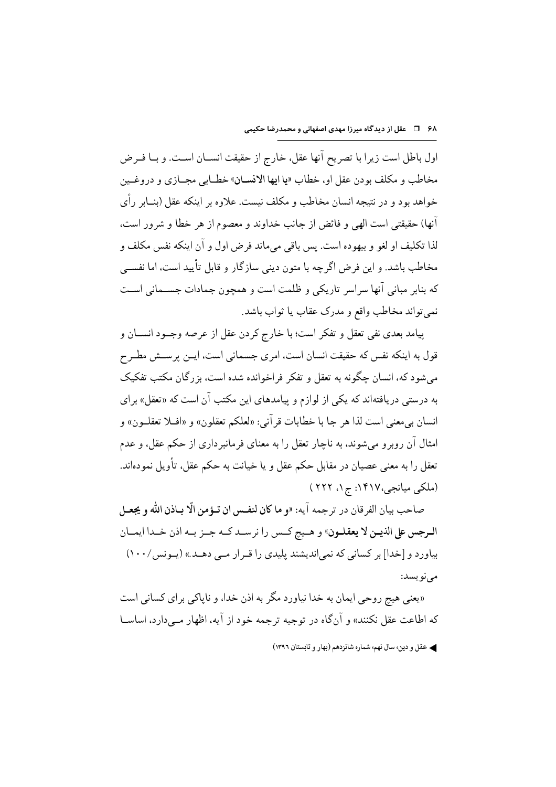اول باطل است زيرا با تصريح آنها عقل، خارج از حقيقت انســان اســت. و بــا فــرض مخاطب و مكلف بودن عقل او، خطاب «يا ايها الانسـان» خطـابي مجـازي و دروغـين خواهد بود و در نتیجه انسان مخاطب و مکلف نیست. علاوه بر اینکه عقل (بنــابر رأی أنها) حقيقتي است الهي و فائض از جانب خداوند و معصوم از هر خطا و شرور است، لذا تكليف او لغو و بيهوده است. پس باقي مي ماند فرض اول و آن اينكه نفس مكلف و مخاطب باشد. و این فرض اگرچه با متون دینی سازگار و قابل تأیید است، اما نفســی كه بنابر مباني آنها سراسر تاريكي و ظلمت است و همچون جمادات جسـماني اسـت نميتواند مخاطب واقع و مدرک عقاب يا ثواب باشد.

پیامد بعدی نفی تعقل و تفکر است؛ با خارج کردن عقل از عرصه وجـود انســان و قول به اینکه نفس که حقیقت انسان است، امری جسمانی است، ایــن پرســش مطــرح میشود که، انسان چگونه به تعقل و تفکر فراخوانده شده است، بزرگان مکتب تفکیک به درستی دریافتهاند که یکی از لوازم و پیامدهای این مکتب آن است که «تعقل» برای انسان بي معنى است لذا هر جا با خطابات قر آني: «لعلكم تعقلون» و «افــلا تعقلــون» و امثال آن روبر و می شوند، به ناچار تعقل را به معنای فرمانبر داری از حکم عقل، و عدم تعقل را به معنى عصیان در مقابل حکم عقل و یا خیانت به حکم عقل، تأویل نمودهاند. (ملکی میانجی،۱۴۱۷: ج ۱، ۲۲۲ )

صاحب بيان الفرقان در ترجمه آيه: «و ما كان لنفس ان تـؤمن الّا بـاذن الله و يجعـل الرجس على الذيـن لا يعقلـون» و هـيج كـس را نرسـد كـه جـز بـه اذن خـدا ايمـان بیاورد و [خدا] بر کسانی که نمیاندیشند پلیدی را قـرار مـبی دهـد.» (یـونس/١٠٠) مے نویسد:

«یعنی هیچ روحی ایمان به خدا نیاورد مگر به اذن خدا، و ناپاکی برای کسانی است که اطاعت عقل نکنند» و آنگاه در توجیه ترجمه خود از آیه، اظهار مبی دارد، اساســا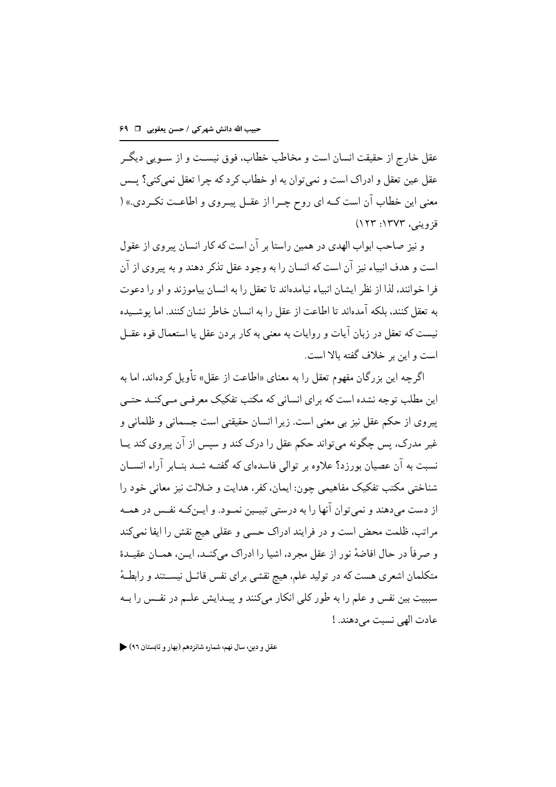عقل خارج از حقیقت انسان است و مخاطب خطاب، فوق نیسـت و از ســویم ، دیگــر عقل عين تعقل و ادراك است و نمي توان به او خطاب كرد كه چرا تعقل نمي كني؟ يــس معنى اين خطاب آن است كــه اي روح چــرا از عقــل پيــروي و اطاعــت نكــردي.» ( قزويني، ١٣٧٣: ١٢٣)

و نیز صاحب ابواب الهدی در همین راستا بر آن است که کار انسان پیروی از عقول است و هدف انبياء نيز آن است كه انسان را به وجود عقل تذكر دهند و به پيروي از آن فرا خوانند، لذا از نظر ایشان انبیاء نیامدهاند تا تعقل را به انسان بیاموزند و او را دعوت به تعقل کنند، بلکه آمدهاند تا اطاعت از عقل را به انسان خاطر نشان کنند. اما بوشــیده نيست كه تعقل در زبان آيات و روايات به معنى به كار بر دن عقل يا استعمال قوه عقــل است و این بر خلاف گفته بالا است.

اگر چه این بزرگان مفهوم تعقل را به معنای «اطاعت از عقل» تأویل کر دهاند، اما به این مطلب توجه نشده است که برای انسانی که مکتب تفکیک معرفــی مــیکنــد حتــی ييروي از حكم عقل نيز بي معنى است. زيرا انسان حقيقتي است جسماني و ظلماني و غیر مدرک، پس چگونه می تواند حکم عقل را درک کند و سپس از آن پیروی کند پـا نسبت به آن عصیان بورزد؟ علاوه بر توالی فاسدهای که گفتـه شــد بنــابر آراء انســان شناختی مکتب تفکیک مفاهیمی جون: ایمان، کفر، هدایت و ضلالت نیز معانی خود را از دست می دهند و نمی توان آنها را به درستی تبیــین نمــود. و ایــنکــه نفــس در همــه مراتب، ظلمت محض است و در فرایند ادراک حسی و عقلی هیچ نقش را ایفا نمیکند و صرفاً در حال افاضهٔ نور از عقل مجرد، اشیا را ادراک میکنـد، ایـن، همـان عقیـدهٔ متکلمان اشعری هست که در تولید علم، هیچ نقشی برای نفس قائـل نیســتند و رابطـهٔ سببيت بين نفس و علم را به طور كلي انكار ميكنند و يبـدايش علــم در نفـس را بــه عادت الهي نسبت مي دهند. !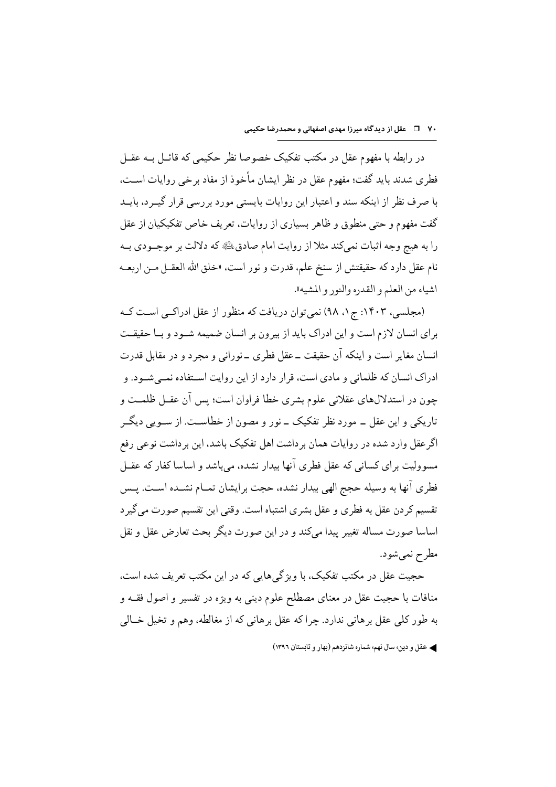در رابطه با مفهوم عقل در مکتب تفکیک خصوصا نظر حکیمی که قائــل بــه عقــل فطری شدند باید گفت؛ مفهوم عقل در نظر ایشان مأخوذ از مفاد برخی روایات اسـت، با صرف نظر از اینکه سند و اعتبار این روایات بایستی مورد بررسی قرار گیــرد، بایــد گفت مفهوم و حتی منطوق و ظاهر بسیاری از روایات، تعریف خاص تفکیکیان از عقل را به هيچ وجه اثبات نميكند مثلاً از روايت امام صادق، عليه كه دلالت بر موجــودي بــه نام عقل دارد که حقیقتش از سنخ علم، قدرت و نور است، «خلق الله العقــل مــن اربعــه اشياء من العلم و القدره والنور و المشيه».

(مجلسی، ۱۴۰۳: ج۱، ۹۸) نمی توان دریافت که منظور از عقل ادراکبی است ک برای انسان لازم است و این ادراک باید از بیرون بر انسان ضمیمه شـود و بـا حقیقـت انسان مغایر است و اینکه آن حقیقت ــ عقل فطری ــ نورانی و مجرد و در مقابل قدرت ادراک انسان که ظلمانی و مادی است، قرار دارد از این روایت اسـتفاده نمــی شــود. و چون در استدلال های عقلانی علوم بشری خطا فراوان است؛ پس آن عقــل ظلمــت و تاریکی و این عقل ــ مورد نظر تفکیک ــ نور و مصون از خطاسـت. از ســویی دیگــر اگر عقل وارد شده در روایات همان بر داشت اهل تفکیک باشد، این بر داشت نوعی رفع مسوولیت برای کسانی که عقل فطری آنها بیدار نشده، می باشد و اساسا کفار که عقــل فطري آنها به وسيله حجج الهي بيدار نشده، حجت برايشان تمــام نشــده اســت. يــس تقسیم کر دن عقل به فطری و عقل بشری اشتباه است. وقتی این تقسیم صورت می گیر د اساسا صورت مساله تغییر پیدا میکند و در این صورت دیگر بحث تعارض عقل و نقل مطرح نمي شود.

حجیت عقل در مکتب تفکیک، با ویژگیهایی که در این مکتب تعریف شده است. منافات با حجیت عقل در معنای مصطلح علوم دینی به ویژه در تفسیر و اصول فقــه و به طور کلي عقل بر هاني ندارد. چرا که عقل بر هاني که از مغالطه، وهم و تخيل خــالي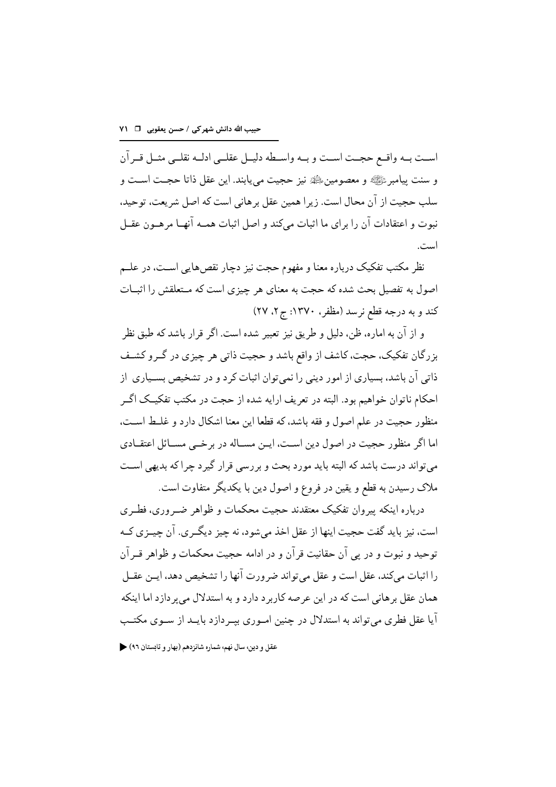است بـه واقــع حجــت اســت و بــه واســطه دليــل عقلــى ادلــه نقلــى مثــل قــر آن و سنت پيامبرﷺ و معصومين،ﷺ نيز حجيت مي يابند. اين عقل ذاتا حجـت اسـت و سلب حجیت از آن محال است. زیرا همین عقل برهانی است که اصل شریعت، توحید، نبوت و اعتقادات آن را برای ما اثبات میکند و اصل اثبات همـه آنهـا مرهـون عقـل است.

نظر مکتب تفکیک درباره معنا و مفهوم حجت نیز دچار نقصهایی اسـت، در علــم اصول به تفصیل بحث شده که حجت به معنای هر چیزی است که مـتعلقش را اثبــات کند و به درجه قطع نرسد (مظفر ، ۱۳۷۰: ج۲، ۲۷)

و از آن به اماره، ظن، دلیل و طریق نیز تعبیر شده است. اگر قرار باشد که طبق نظر بزرگان تفکیک، حجت، کاشف از واقع باشد و حجیت ذاتی هر چیزی در گــرو کشــف ذاتی آن باشد، بسیاری از امور دینی را نمی توان اثبات کرد و در تشخیص بســیاری از احکام ناتوان خواهیم بود. البته در تعریف ارایه شده از حجت در مکتب تفکیـک اگـر منظور حجيت در علم اصول و فقه باشد، كه قطعا اين معنا اشكال دارد و غلـط اسـت، اما اگر منظور حجیت در اصول دین اسـت، ایـن مسـاله در برخــی مســائل اعتقــادی می تواند درست باشد که البته باید مورد بحث و بر رسی قرار گیر د چرا که بدیهی است ملاک رسیدن به قطع و یقین در فروع و اصول دین با یکدیگر متفاوت است.

درباره اینکه پیروان تفکیک معتقدند حجیت محکمات و ظواهر ضـروری، فطـری است، نیز باید گفت حجیت اینها از عقل اخذ میشود، نه چیز دیگـری. آن چیــزی کــه توحيد و نبوت و در يې آن حقانيت قر آن و در ادامه حجيت محکمات و ظواهر قــر آن را اثبات می کند، عقل است و عقل می تواند ضرورت آنها را تشخیص دهد، ایــن عقــل همان عقل بر هانی است که در این عرصه کاربر د دارد و به استدلال می بر دازد اما اینکه آیا عقل فطری می تواند به استدلال در چنین امـوری بیـر دازد بایــد از ســوی مکتــب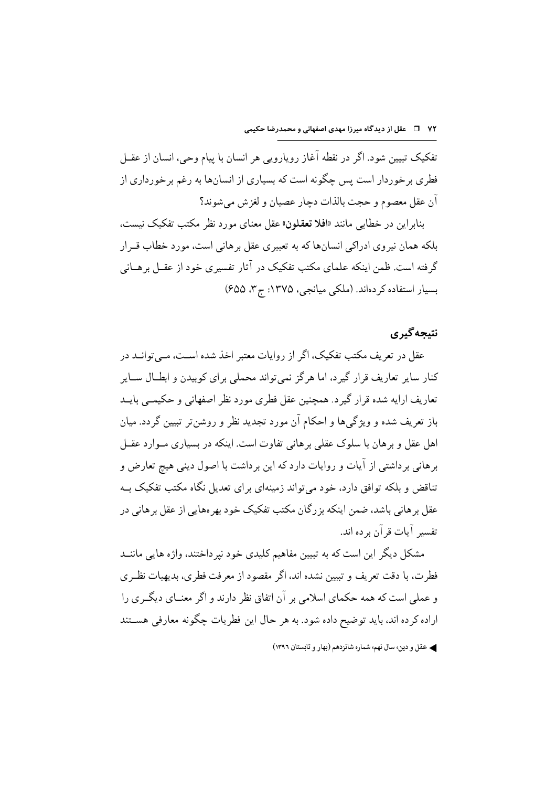تفکیک تبیین شود. اگر در نقطه آغاز رویارویی هر انسان با پیام وحی، انسان از عقــل فطری برخوردار است پس چگونه است که بسیاری از انسانها به رغم برخورداری از أن عقل معصوم و حجت بالذات دچار عصيان و لغزش مي شوند؟

بنابراین در خطابی مانند «افلا تعقلون» عقل معنای مورد نظر مکتب تفکیک نیست، بلکه همان نیروی ادراکی انسانها که به تعبیری عقل برهانی است، مورد خطاب قــرار گرفته است. ظمن اینکه علمای مکتب تفکیک در آثار تفسیری خود از عقــل برهــانی بسیار استفاده کردهاند. (ملکی میانجی، ۱۳۷۵: ج۳، ۶۵۵)

## نتيجه گيري

عقل در تعریف مکتب تفکیک، اگر از روایات معتبر اخذ شده اسـت، مــی توانــد در کنار سایر تعاریف قرار گیرد، اما هر گز نمی تواند محملی برای کوبیدن و ابطــال ســایر تعاریف ارایه شده قرار گیرد. همچنین عقل فطری مورد نظر اصفهانی و حکیمــی بایــد باز تعریف شده و ویژگیها و احکام آن مورد تجدید نظر و روشن تر تبیین گردد. میان اهل عقل و بر هان با سلوک عقلی بر هانی تفاوت است. اینکه در بسیاری مـوارد عقــل برهانی برداشتی از آیات و روایات دارد که این برداشت با اصول دینی هیچ تعارض و تناقض و بلکه توافق دارد، خود می تواند زمینهای برای تعدیل نگاه مکتب تفکیک بـه عقل بر هانی باشد، ضمن اینکه بز رگان مکتب تفکیک خود بهر مهایی از عقل بر هانی در تفسير آيات قرآن بر ده اند.

مشکل دیگر این است که به تبیین مفاهیم کلیدی خود نیر داختند، واژه هایی ماننــد فطرت، با دقت تعریف و تبیین نشده اند، اگر مقصود از معرفت فطری، بدیهیات نظـری و عملم است که همه حکمای اسلامی بر آن اتفاق نظر دارند و اگر معنــای دیگــری را اراده کر ده اند، باید توضیح داده شود. به هر حال این فطریات چگونه معارفی هســتند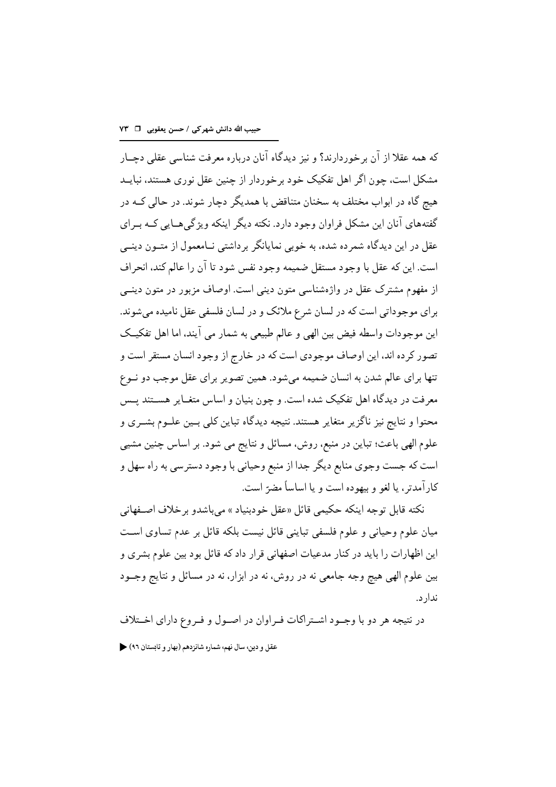که همه عقلاً از آن برخوردارند؟ و نیز دیدگاه آنان درباره معرفت شناسه عقلم وحسار مشکل است، چون اگر اهل تفکیک خود برخوردار از چنین عقل نوری هستند، نبایــد هیج گاه در ابواب مختلف به سخنان متناقض با همدیگر دچار شوند. در حالی کــه در گفتههای آنان این مشکل فراوان وجود دارد. نکته دیگر اینکه ویژگی هـایی کــه بــرای عقل در این دیدگاه شمرده شده، به خوبی نمایانگر برداشتی نــامعمول از متــون دینــی است. اين كه عقل با وجود مستقل ضميمه وجود نفس شود تا آن را عالم كند، انحراف از مفهوم مشترک عقل در واژهشناسی متون دینی است. اوصاف مزبور در متون دینــی براي موجوداتي است كه در لسان شرع ملائك و در لسان فلسفي عقل ناميده مي شوند. اين موجودات واسطه فيض بين الهي و عالم طبيعي به شمار مي آيند، اما اهل تفكيــك تصور کرده اند، این اوصاف موجودی است که در خارج از وجود انسان مستقر است و تنها براي عالم شدن به انسان ضميمه مي شود. همين تصوير براي عقل موجب دو نسوع معرفت در دیدگاه اهل تفکیک شده است. و چون بنیان و اساس متغـایر هســتند پــس محتوا و نتایج نیز ناگزیر متغایر هستند. نتیجه دیدگاه تباین کلی بــین علــوم بشــری و علوم الهي باعث؛ تباين در منبع، روش، مسائل و نتايج مي شود. بر اساس چنين مشيبي است که جست وجوی منابع دیگر جدا از منبع وحیانی با وجود دسترسی به راه سهل و كار آمدتر ، يا لغو و بيهوده است و يا اساساً مضرّ است.

نكته قابل توجه اينكه حكيمي قائل «عقل خودبنياد » مي باشدو بر خلاف اصفهاني میان علوم وحیانی و علوم فلسفی تباینی قائل نیست بلکه قائل بر عدم تساوی است این اظهارات را باید در کنار مدعیات اصفهانی قرار داد که قائل بود بین علوم بشری و بین علوم الهی هیچ وجه جامعی نه در روش، نه در ابزار، نه در مسائل و نتایج وجــود ندار د.

در نتیجه هر دو با وجـود اشـتراکات فـراوان در اصـول و فـروع دارای اخــتلاف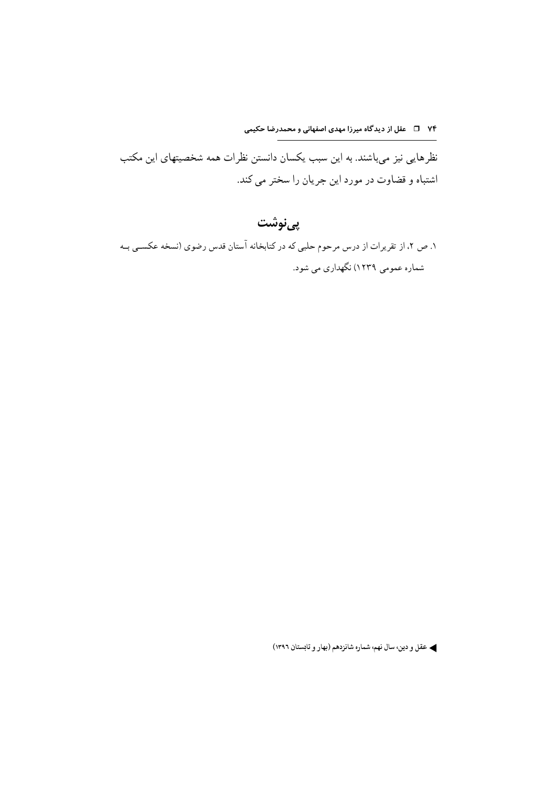۷۴ ٪ □ عقل از دیدگاه میرزا مهدی اصفهانی و محمدرضا حکیمی

نظرهایی نیز می باشند. به این سبب یکسان دانستن نظرات همه شخصیتهای این مکتب اشتباه و قضاوت در مورد این جریان را سختر می کند.

# پىنوشت

۱. ص ۲، از تقریرات از درس مرحوم حلبی که در کتابخانه آستان قدس رضوی (نسخه عکســی بــه شماره عمومی ۱۲۳۹) نگهداری می شود.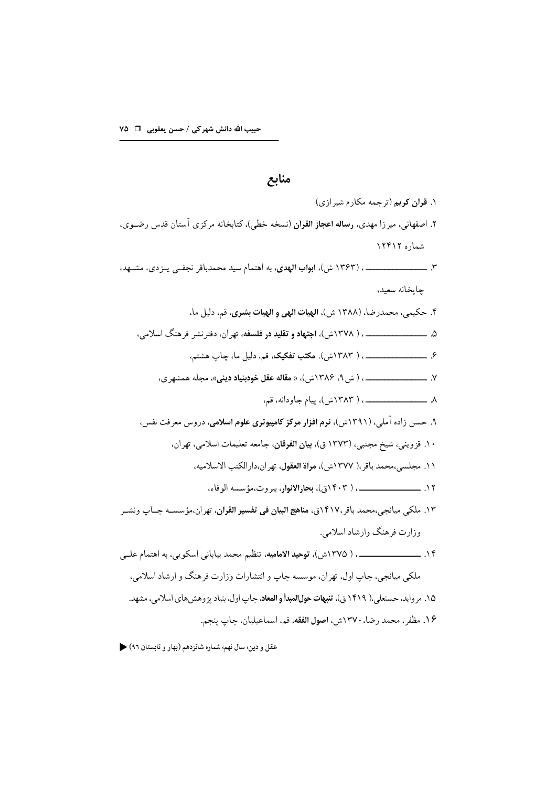# منابع ١. قرأن كريم (ترجمه مكارم شيرازي) ۲. اصفهانی، میرزا مهدی، **رساله اعجاز القرآن** (نسخه خطی)، کتابخانه مرکزی آستان قدس رضـوی. شماره ۱۲۴۱۲ جايخانه سعيد، ۴. حكيمي، محمدرضا، (١٣٨٨ ش)، الهيات الهي و الهيات بشرى، قم، دليل ما، ۵. ــــــــــــــــــــــــ ، ( ۱۳۷۸ش)، اجتهاد و تقلید در فلسفه، تهران، دفترنشر فرهنگ اسلامی، ۹. حسن زاده آملی، (۱۳۹۱ش)، **نرم افزار مرکز کامپیوتری علوم اسلامی**، دروس معرفت نفس، ١٠. قزويني، شيخ مجتبي، (١٣٧٣ ق)، بيان الفرقان، جامعه تعليمات اسلامي، تهران، ١١. مجلسي،محمد باقر،( ١٣٧٧ش)، مرأة العقول، تهران،دارالكتب الاسلاميه، ۱۳. ملکی میانجی،محمد باقر،۱۴۱۷ق، م**ناهج البیان فی تفسیر القرآن**، تهران،مؤسسـه چـاپ ونشـر وزارت فرهنگ وارشاد اسلامي. ملکي ميانجي، چاپ اول، تهران، موسسه چاپ و انتشارات وزارت فرهنگ و ارشاد اسلامي، ۱۵. م وايد، حسنعلي،( ۱۴۱۹ ق)، **تنبهات حول المبدأ و المعاد**، جاب اول، بنياد برّ وهش هاي اسلامي، مشهد. ۱۶. مظفر ، محمد رضا، ۱۳۷۰ش، اصول الفقه، قم، اسماعيليان، چاپ پنجم.